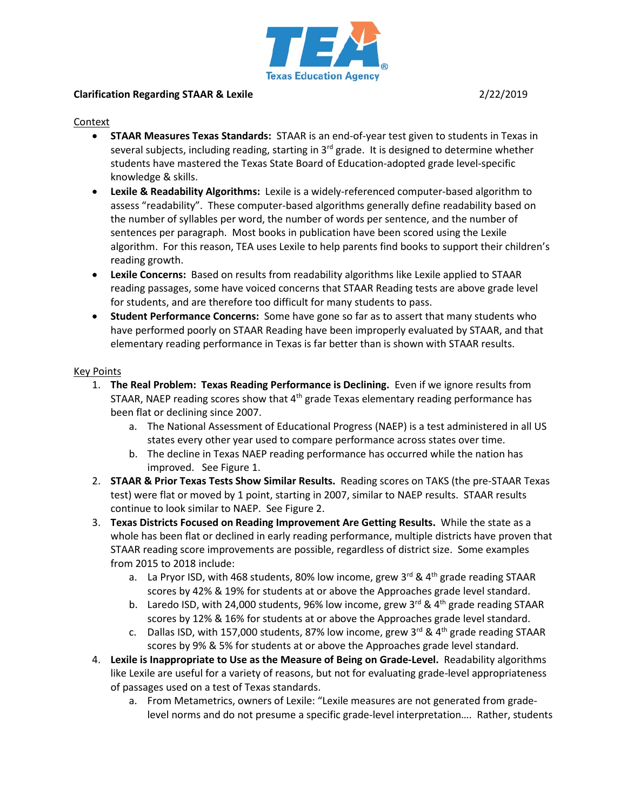

## **Clarification Regarding STAAR & Lexile** 2/22/2019

#### Context

- **STAAR Measures Texas Standards:** STAAR is an end-of-year test given to students in Texas in several subjects, including reading, starting in  $3<sup>rd</sup>$  grade. It is designed to determine whether students have mastered the Texas State Board of Education-adopted grade level-specific knowledge & skills.
- **Lexile & Readability Algorithms:** Lexile is a widely-referenced computer-based algorithm to assess "readability". These computer-based algorithms generally define readability based on the number of syllables per word, the number of words per sentence, and the number of sentences per paragraph. Most books in publication have been scored using the Lexile algorithm. For this reason, TEA uses Lexile to help parents find books to support their children's reading growth.
- **Lexile Concerns:** Based on results from readability algorithms like Lexile applied to STAAR reading passages, some have voiced concerns that STAAR Reading tests are above grade level for students, and are therefore too difficult for many students to pass.
- **Student Performance Concerns:** Some have gone so far as to assert that many students who have performed poorly on STAAR Reading have been improperly evaluated by STAAR, and that elementary reading performance in Texas is far better than is shown with STAAR results.

### Key Points

- 1. **The Real Problem: Texas Reading Performance is Declining.** Even if we ignore results from STAAR, NAEP reading scores show that  $4<sup>th</sup>$  grade Texas elementary reading performance has been flat or declining since 2007.
	- a. The National Assessment of Educational Progress (NAEP) is a test administered in all US states every other year used to compare performance across states over time.
	- b. The decline in Texas NAEP reading performance has occurred while the nation has improved. See Figure 1.
- 2. **STAAR & Prior Texas Tests Show Similar Results.** Reading scores on TAKS (the pre-STAAR Texas test) were flat or moved by 1 point, starting in 2007, similar to NAEP results. STAAR results continue to look similar to NAEP. See Figure 2.
- 3. **Texas Districts Focused on Reading Improvement Are Getting Results.** While the state as a whole has been flat or declined in early reading performance, multiple districts have proven that STAAR reading score improvements are possible, regardless of district size. Some examples from 2015 to 2018 include:
	- a. La Pryor ISD, with 468 students, 80% low income, grew 3<sup>rd</sup> & 4<sup>th</sup> grade reading STAAR scores by 42% & 19% for students at or above the Approaches grade level standard.
	- b. Laredo ISD, with 24,000 students, 96% low income, grew 3<sup>rd</sup> & 4<sup>th</sup> grade reading STAAR scores by 12% & 16% for students at or above the Approaches grade level standard.
	- c. Dallas ISD, with 157,000 students, 87% low income, grew 3<sup>rd</sup> & 4<sup>th</sup> grade reading STAAR scores by 9% & 5% for students at or above the Approaches grade level standard.
- 4. **Lexile is Inappropriate to Use as the Measure of Being on Grade-Level.** Readability algorithms like Lexile are useful for a variety of reasons, but not for evaluating grade-level appropriateness of passages used on a test of Texas standards.
	- a. From Metametrics, owners of Lexile: "Lexile measures are not generated from gradelevel norms and do not presume a specific grade-level interpretation…. Rather, students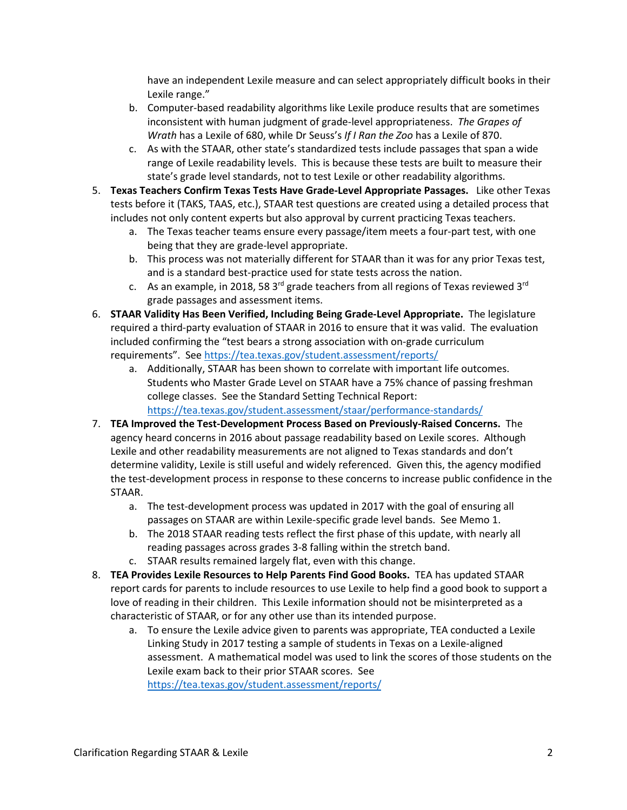have an independent Lexile measure and can select appropriately difficult books in their Lexile range."

- b. Computer-based readability algorithms like Lexile produce results that are sometimes inconsistent with human judgment of grade-level appropriateness. *The Grapes of Wrath* has a Lexile of 680, while Dr Seuss's *If I Ran the Zoo* has a Lexile of 870.
- c. As with the STAAR, other state's standardized tests include passages that span a wide range of Lexile readability levels. This is because these tests are built to measure their state's grade level standards, not to test Lexile or other readability algorithms.
- 5. **Texas Teachers Confirm Texas Tests Have Grade-Level Appropriate Passages.** Like other Texas tests before it (TAKS, TAAS, etc.), STAAR test questions are created using a detailed process that includes not only content experts but also approval by current practicing Texas teachers.
	- a. The Texas teacher teams ensure every passage/item meets a four-part test, with one being that they are grade-level appropriate.
	- b. This process was not materially different for STAAR than it was for any prior Texas test, and is a standard best-practice used for state tests across the nation.
	- c. As an example, in 2018, 58 3<sup>rd</sup> grade teachers from all regions of Texas reviewed 3<sup>rd</sup> grade passages and assessment items.
- 6. **STAAR Validity Has Been Verified, Including Being Grade-Level Appropriate.** The legislature required a third-party evaluation of STAAR in 2016 to ensure that it was valid. The evaluation included confirming the "test bears a strong association with on-grade curriculum requirements". Se[e https://tea.texas.gov/student.assessment/reports/](https://tea.texas.gov/student.assessment/reports/)
	- a. Additionally, STAAR has been shown to correlate with important life outcomes. Students who Master Grade Level on STAAR have a 75% chance of passing freshman college classes. See the Standard Setting Technical Report: <https://tea.texas.gov/student.assessment/staar/performance-standards/>
- 7. **TEA Improved the Test-Development Process Based on Previously-Raised Concerns.** The agency heard concerns in 2016 about passage readability based on Lexile scores. Although Lexile and other readability measurements are not aligned to Texas standards and don't determine validity, Lexile is still useful and widely referenced. Given this, the agency modified the test-development process in response to these concerns to increase public confidence in the STAAR.
	- a. The test-development process was updated in 2017 with the goal of ensuring all passages on STAAR are within Lexile-specific grade level bands. See Memo 1.
	- b. The 2018 STAAR reading tests reflect the first phase of this update, with nearly all reading passages across grades 3-8 falling within the stretch band.
	- c. STAAR results remained largely flat, even with this change.
- 8. **TEA Provides Lexile Resources to Help Parents Find Good Books.** TEA has updated STAAR report cards for parents to include resources to use Lexile to help find a good book to support a love of reading in their children. This Lexile information should not be misinterpreted as a characteristic of STAAR, or for any other use than its intended purpose.
	- a. To ensure the Lexile advice given to parents was appropriate, TEA conducted a Lexile Linking Study in 2017 testing a sample of students in Texas on a Lexile-aligned assessment. A mathematical model was used to link the scores of those students on the Lexile exam back to their prior STAAR scores. See <https://tea.texas.gov/student.assessment/reports/>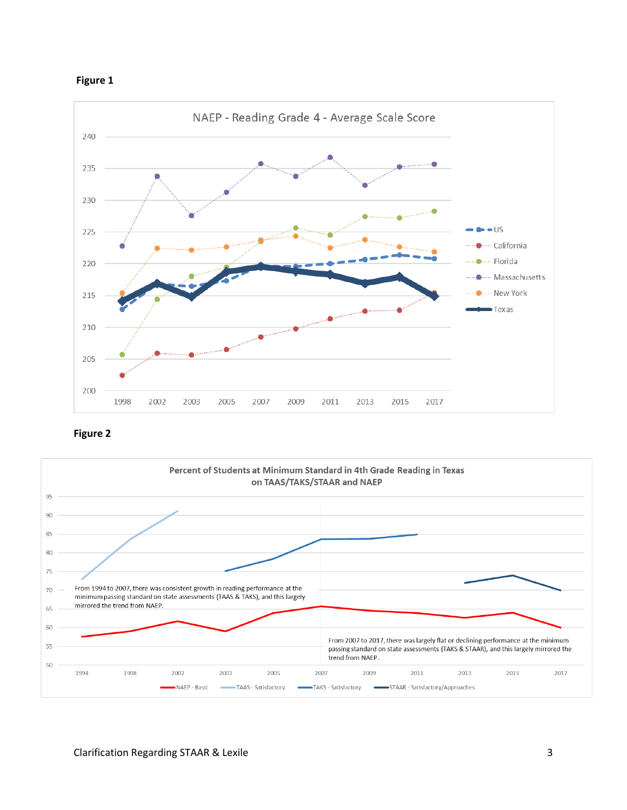



**Figure 2**

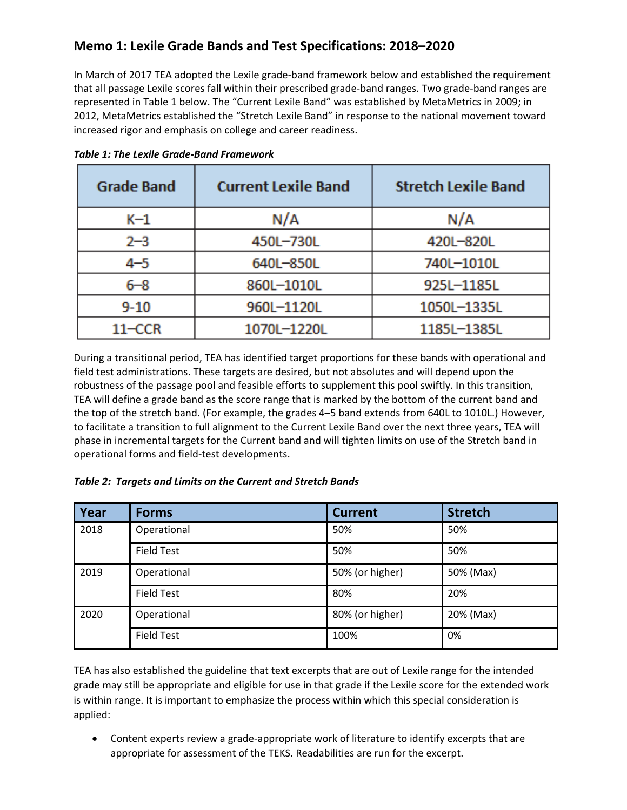# **Memo 1: Lexile Grade Bands and Test Specifications: 2018–2020**

In March of 2017 TEA adopted the Lexile grade‐band framework below and established the requirement that all passage Lexile scores fall within their prescribed grade‐band ranges. Two grade‐band ranges are represented in Table 1 below. The "Current Lexile Band" was established by MetaMetrics in 2009; in 2012, MetaMetrics established the "Stretch Lexile Band" in response to the national movement toward increased rigor and emphasis on college and career readiness.

| <b>Grade Band</b> | <b>Current Lexile Band</b> | <b>Stretch Lexile Band</b> |  |
|-------------------|----------------------------|----------------------------|--|
| K-1               | N/A                        | N/A                        |  |
| $2 - 3$           | 450L-730L                  | 420L-820L                  |  |
| $4 - 5$           | 640L-850L                  | 740L-1010L                 |  |
| $6 - 8$           | 860L-1010L                 | 925L-1185L                 |  |
| $9 - 10$          | 960L-1120L                 | 1050L-1335L                |  |
| $11-CCR$          | 1070L-1220L                | 1185L-1385L                |  |

*Table 1: The Lexile Grade‐Band Framework*

During a transitional period, TEA has identified target proportions for these bands with operational and field test administrations. These targets are desired, but not absolutes and will depend upon the robustness of the passage pool and feasible efforts to supplement this pool swiftly. In this transition, TEA will define a grade band as the score range that is marked by the bottom of the current band and the top of the stretch band. (For example, the grades 4–5 band extends from 640L to 1010L.) However, to facilitate a transition to full alignment to the Current Lexile Band over the next three years, TEA will phase in incremental targets for the Current band and will tighten limits on use of the Stretch band in operational forms and field‐test developments.

## *Table 2: Targets and Limits on the Current and Stretch Bands*

| Year | <b>Forms</b>      | <b>Current</b>  | <b>Stretch</b> |
|------|-------------------|-----------------|----------------|
| 2018 | Operational       | 50%             | 50%            |
|      | <b>Field Test</b> | 50%             | 50%            |
| 2019 | Operational       | 50% (or higher) | 50% (Max)      |
|      | <b>Field Test</b> | 80%             | 20%            |
| 2020 | Operational       | 80% (or higher) | 20% (Max)      |
|      | <b>Field Test</b> | 100%            | 0%             |

TEA has also established the guideline that text excerpts that are out of Lexile range for the intended grade may still be appropriate and eligible for use in that grade if the Lexile score for the extended work is within range. It is important to emphasize the process within which this special consideration is applied:

● Content experts review a grade-appropriate work of literature to identify excerpts that are appropriate for assessment of the TEKS. Readabilities are run for the excerpt.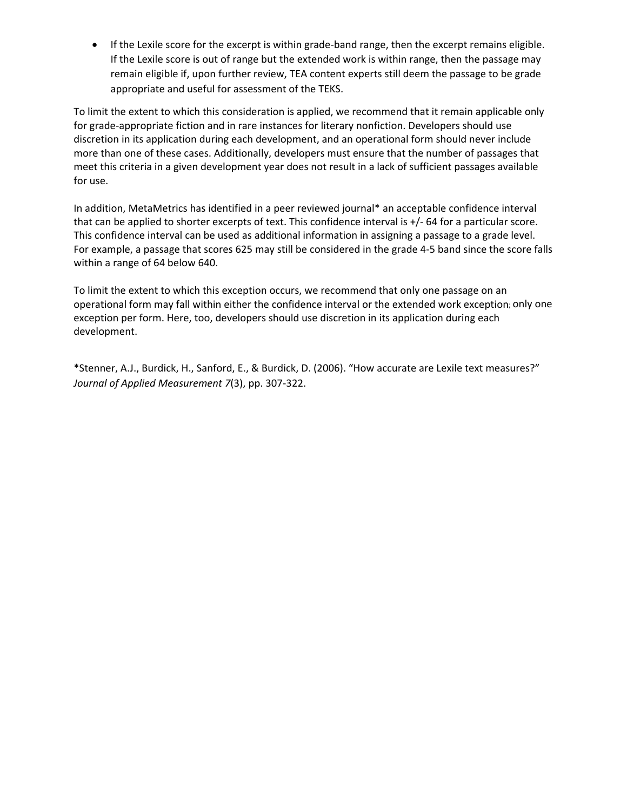● If the Lexile score for the excerpt is within grade-band range, then the excerpt remains eligible. If the Lexile score is out of range but the extended work is within range, then the passage may remain eligible if, upon further review, TEA content experts still deem the passage to be grade appropriate and useful for assessment of the TEKS.

To limit the extent to which this consideration is applied, we recommend that it remain applicable only for grade‐appropriate fiction and in rare instances for literary nonfiction. Developers should use discretion in its application during each development, and an operational form should never include more than one of these cases. Additionally, developers must ensure that the number of passages that meet this criteria in a given development year does not result in a lack of sufficient passages available for use.

In addition, MetaMetrics has identified in a peer reviewed journal\* an acceptable confidence interval that can be applied to shorter excerpts of text. This confidence interval is +/‐ 64 for a particular score. This confidence interval can be used as additional information in assigning a passage to a grade level. For example, a passage that scores 625 may still be considered in the grade 4‐5 band since the score falls within a range of 64 below 640.

To limit the extent to which this exception occurs, we recommend that only one passage on an operational form may fall within either the confidence interval or the extended work exception; only one exception per form. Here, too, developers should use discretion in its application during each development.

\*Stenner, A.J., Burdick, H., Sanford, E., & Burdick, D. (2006). "How accurate are Lexile text measures?" *Journal of Applied Measurement 7*(3), pp. 307‐322.